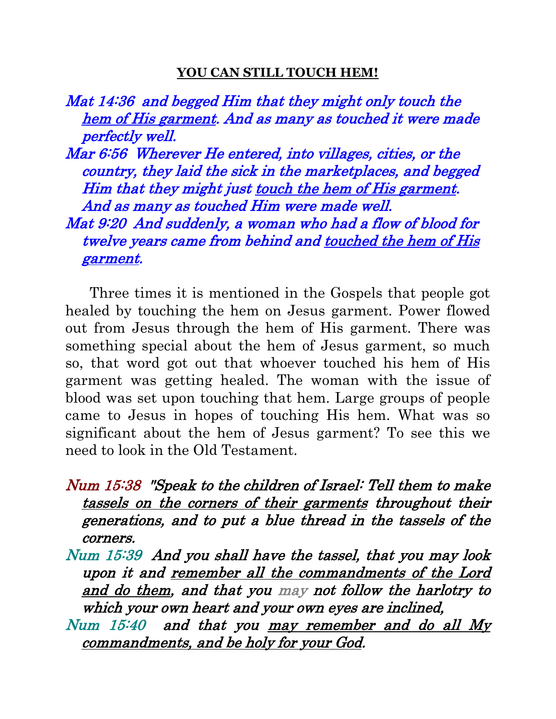## **YOU CAN STILL TOUCH HEM!**

Mat 14:36 and begged Him that they might only touch the hem of His garment. And as many as touched it were made perfectly well. Mar 6:56 Wherever He entered, into villages, cities, or the country, they laid the sick in the marketplaces, and begged Him that they might just touch the hem of His garment. And as many as touched Him were made well. Mat 9:20 And suddenly, a woman who had a flow of blood for twelve years came from behind and touched the hem of His garment.

 Three times it is mentioned in the Gospels that people got healed by touching the hem on Jesus garment. Power flowed out from Jesus through the hem of His garment. There was something special about the hem of Jesus garment, so much so, that word got out that whoever touched his hem of His garment was getting healed. The woman with the issue of blood was set upon touching that hem. Large groups of people came to Jesus in hopes of touching His hem. What was so significant about the hem of Jesus garment? To see this we need to look in the Old Testament.

- Num 15:38 "Speak to the children of Israel: Tell them to make tassels on the corners of their garments throughout their generations, and to put a blue thread in the tassels of the corners.
- Num 15:39 And you shall have the tassel, that you may look upon it and remember all the commandments of the Lord and do them, and that you may not follow the harlotry to which your own heart and your own eyes are inclined,
- Num 15:40 and that you may remember and do all My commandments, and be holy for your God.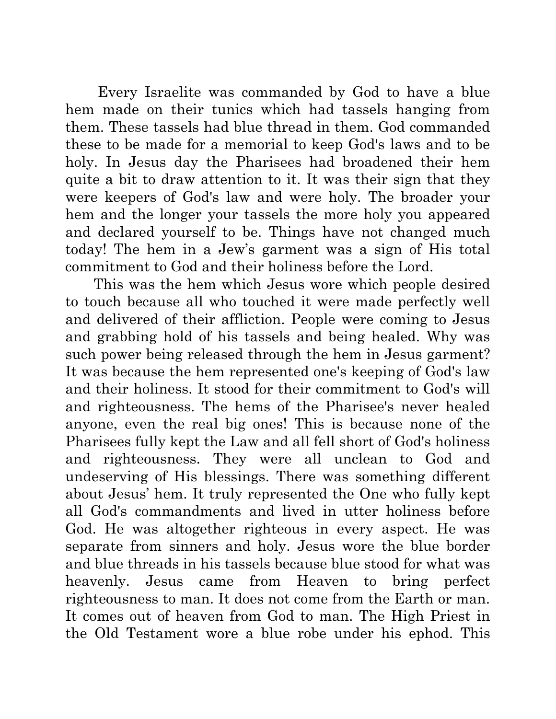Every Israelite was commanded by God to have a blue hem made on their tunics which had tassels hanging from them. These tassels had blue thread in them. God commanded these to be made for a memorial to keep God's laws and to be holy. In Jesus day the Pharisees had broadened their hem quite a bit to draw attention to it. It was their sign that they were keepers of God's law and were holy. The broader your hem and the longer your tassels the more holy you appeared and declared yourself to be. Things have not changed much today! The hem in a Jew's garment was a sign of His total commitment to God and their holiness before the Lord.

 This was the hem which Jesus wore which people desired to touch because all who touched it were made perfectly well and delivered of their affliction. People were coming to Jesus and grabbing hold of his tassels and being healed. Why was such power being released through the hem in Jesus garment? It was because the hem represented one's keeping of God's law and their holiness. It stood for their commitment to God's will and righteousness. The hems of the Pharisee's never healed anyone, even the real big ones! This is because none of the Pharisees fully kept the Law and all fell short of God's holiness and righteousness. They were all unclean to God and undeserving of His blessings. There was something different about Jesus' hem. It truly represented the One who fully kept all God's commandments and lived in utter holiness before God. He was altogether righteous in every aspect. He was separate from sinners and holy. Jesus wore the blue border and blue threads in his tassels because blue stood for what was heavenly. Jesus came from Heaven to bring perfect righteousness to man. It does not come from the Earth or man. It comes out of heaven from God to man. The High Priest in the Old Testament wore a blue robe under his ephod. This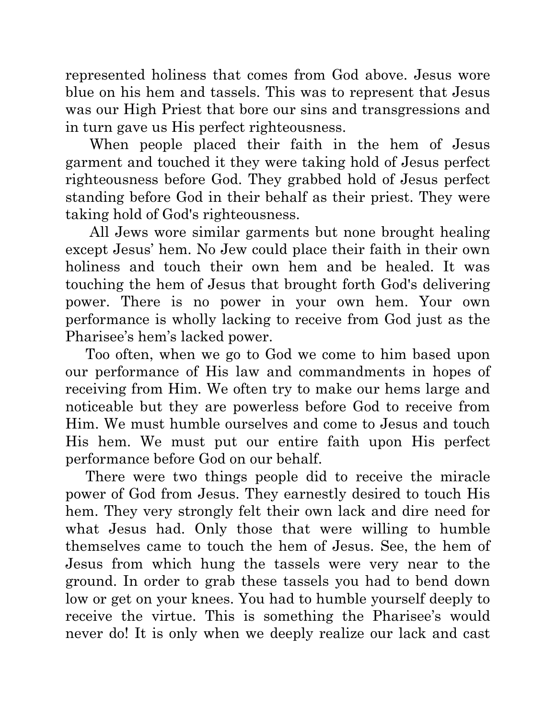represented holiness that comes from God above. Jesus wore blue on his hem and tassels. This was to represent that Jesus was our High Priest that bore our sins and transgressions and in turn gave us His perfect righteousness.

 When people placed their faith in the hem of Jesus garment and touched it they were taking hold of Jesus perfect righteousness before God. They grabbed hold of Jesus perfect standing before God in their behalf as their priest. They were taking hold of God's righteousness.

 All Jews wore similar garments but none brought healing except Jesus' hem. No Jew could place their faith in their own holiness and touch their own hem and be healed. It was touching the hem of Jesus that brought forth God's delivering power. There is no power in your own hem. Your own performance is wholly lacking to receive from God just as the Pharisee's hem's lacked power.

 Too often, when we go to God we come to him based upon our performance of His law and commandments in hopes of receiving from Him. We often try to make our hems large and noticeable but they are powerless before God to receive from Him. We must humble ourselves and come to Jesus and touch His hem. We must put our entire faith upon His perfect performance before God on our behalf.

 There were two things people did to receive the miracle power of God from Jesus. They earnestly desired to touch His hem. They very strongly felt their own lack and dire need for what Jesus had. Only those that were willing to humble themselves came to touch the hem of Jesus. See, the hem of Jesus from which hung the tassels were very near to the ground. In order to grab these tassels you had to bend down low or get on your knees. You had to humble yourself deeply to receive the virtue. This is something the Pharisee's would never do! It is only when we deeply realize our lack and cast